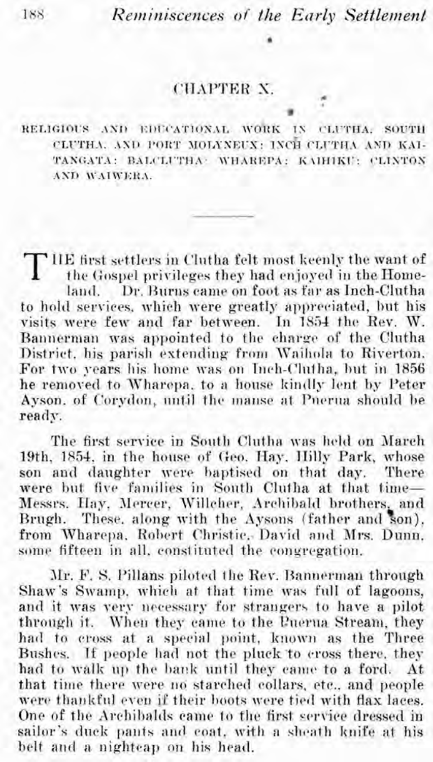## CHAPTER Y

RELIGIOUS AND EDUCATIONAL WORK IN CLUTHA SOUTH CLUTHA, AND PORT MOLYNEUX: INCH CLUTHA AND KAI-TANGATA: BALCLUTHA: WHAREPA: KAIHIKU: CLINTON AND WAIWERA

THE first settlers in Clutha felt most keenly the want of the Gospel privileges they had enjoyed in the Homeland. Dr. Burns came on foot as far as Inch-Clutha to hold services, which were greatly appreciated, but his visits were few and far between. In 1854 the Rev. W. Bannerman was appointed to the charge of the Clutha District, his parish extending from Waihola to Riverton. For two years his home was on Inch-Clutha, but in 1856 he removed to Wharepa, to a house kindly lent by Peter Avson, of Corvdon, until the manse at Pnerua should be ready.

The first service in South Clutha was held on March 19th, 1854, in the house of Geo, Hay, Hilly Park, whose son and daughter were baptised on that day. There were but five families in South Clutha at that time-Messrs. Hay, Mercer, Willeher, Archibald brothers, and Brugh. These, along with the Aysons (father and son). from Wharepa, Robert Christie, David and Mrs. Dunn. some fifteen in all, constituted the congregation.

Mr. F. S. Pillans piloted the Rev. Bannerman through Shaw's Swamp, which at that time was full of lagoons, and it was very necessary for strangers to have a pilot through it. When they came to the Puerua Stream, they had to cross at a special point, known as the Three Bushes. If people had not the pluck to cross there, they had to walk up the bank until they came to a ford. At that time there were no starched collars, etc., and people were thankful even if their boots were tied with flax laces. One of the Archibalds came to the first service dressed in sailor's duck pants and coat, with a sheath knife at his belt and a nighteap on his head.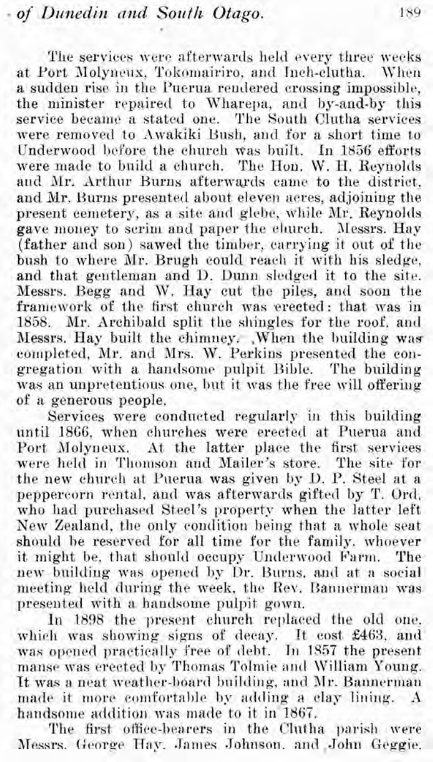The services were afterwards held every three weeks at Port Molyneux, Tokomairiro, and Inch-clutha. When a sudden rise in the Puerua rendered crossing impossible. the minister repaired to Wharepa, and by-and-by this service became a stated one. The South Clutha services were removed to Awakiki Bush, and for a short time to Underwood before the church was built. In 1856 efforts were made to build a church. The Hon. W. H. Reynolds and Mr. Arthur Burns afterwards came to the district. and Mr. Burns presented about eleven acres, adjoining the present cemetery, as a site and glebe, while Mr. Reynolds gave money to serim and paper the clurch. Messrs. Hay (father and son) sawed the timber, carrying it out of the bush to where Mr. Brugh could reach it with his sledge, and that gentleman and D. Dunn sledged it to the site. Messrs. Begg and W. Hay cut the piles, and soon the framework of the first church was erected: that was in 1858. Mr. Archibald split the shingles for the roof, and Messrs. Hay built the chimney. When the building was completed, Mr. and Mrs. W. Perkins presented the congregation with a handsome pulpit Bible. The building was an unpretentious one, but it was the free will offering of a generous people.

Services were conducted regularly in this building until 1866, when churches were erected at Puerua and Port Molyneux. At the latter place the first services were held in Thomson and Mailer's store. The site for the new church at Puerua was given by D. P. Steel at a peppercorn rental, and was afterwards gifted by T. Ord. who had purchased Steel's property when the latter left New Zealand, the only condition being that a whole seat should be reserved for all time for the family, whoever it might be, that should occupy Underwood Farm. The new building was opened by Dr. Burns, and at a social meeting held during the week, the Rev. Bannerman was presented with a handsome pulpit gown.

In 1898 the present church replaced the old one. which was showing signs of decay. It cost £463, and was opened practically free of debt. In 1857 the present manse was erected by Thomas Tolmie and William Young. It was a neat weather-board building, and Mr. Bannerman made it more comfortable by adding a clay lining. A handsome addition was made to it in 1867.

The first office-bearers in the Clutha parish were Messrs. George Hay. James Johnson. and John Geggie.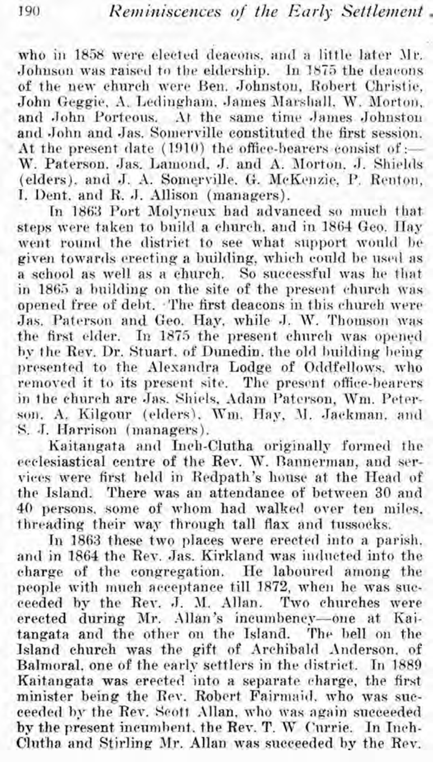who in 1858 were elected deacons, and a little later Mr. Johnson was raised to the eldership. In 1875 the deacons of the new church were Ben. Johnston, Robert Christie, John Geggie, A. Ledingham, James Marshall, W. Morton. and John Porteous. At the same time James Johnston and John and Jas. Somerville constituted the first session. At the present date (1910) the office-bearers consist of :-W. Paterson. Jas. Lamond, J. and A. Morton. J. Shields (elders). and J. A. Somerville. G. McKenzie. P. Renton. I. Dent. and R. J. Allison (managers).

In 1863 Port Molyneux had advanced so much that steps were taken to build a chnrch. and in 1864 Geo. **IIay**  went round the district to see what support would be given towards erecting a building, which could be used as a school as well as a church. So successful was he that in 1865 a building on the site of the present church was opened free of debt. The first deacons in this church were Jas. Paterson and Geo. Hay. while J. W. Thomson was the first elder. In 1875 the present church was opened by the Rev. Dr. Stuart. of Dunedin. the old building being presented to the Alexandra Lodge of Oddfellows, who removed it to its present site. The present office-bearers in the church are **Jas.** Shiels, Adam Patcrson, Wm. Peterson. A. Kilgour (elders). Wm. Hay, M. Jackman. and S. J. Harrison (managers).

Kaitangata and Inch-Clutha originally formed the ecclesiastical centre of the Rev. W. Bannerman, and services were first held in Redpath's house at the Head of the Island. There was an attendance of between 30 and 40 persons. some of whom had walked over ten miles, threading their way through tall flax and tussocks.

In 1863 these two places were erected into a parish, and in 1864 the Rey. das. Kirkland was indncted into the charge of the congregation. He laboured among the people with much acceptance till 1872, when he was suc-<br>ceeded by the Rey. J. M. Allan. Two churches were ceeded by the Rev. J. M. Allan. erected during Mr. Allan's incumbency--one at Kaitangata and the other on the Island. The bell on the Island church was the gift of Archibald Anderson. of Balmoral, one of the early settlers in the district. In 1889 Kaitangata was erected into a separate charge, the first minister being the Rev. Robert Fairmaid, who was succeeded by the Rev. Scott Allan, who was again succeeded by the present incumbent, the Rev. T. W Currie. In Inch-Clntha and Stirling **JIr.** Allan was succeeded **by** the Rev.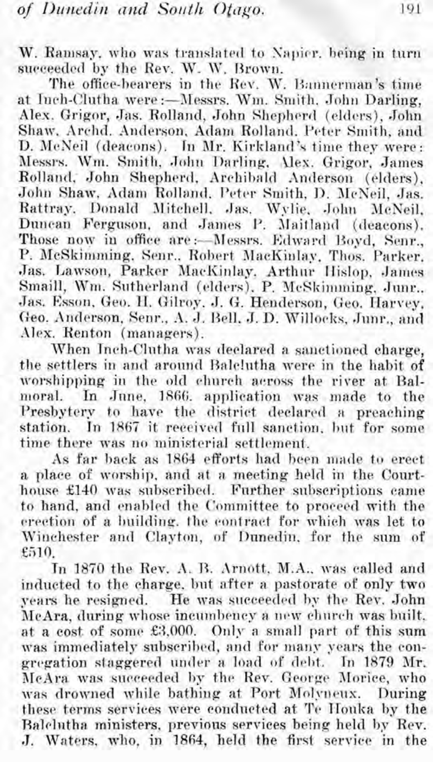W. Ramsay, who was translated to Napier, being in turn succeeded by the Rev. W. W. Brown.

The office-bearers in the Rev. W. Bannerman's time at Inch-Clutha were:-Messrs. Wm. Smith. John Darling, Alex. Grigor, Jas. Rolland, John Shepherd (elders), John Shaw, Archd. Anderson, Adam Rolland, Peter Smith, and D. McNeil (deacons). In Mr. Kirkland's time they were: Messrs. Wm. Smith, John Darling, Alex. Grigor, James Rolland, John Shepherd, Archibald Anderson (elders). John Shaw, Adam Rolland, Peter Smith, D. McNeil, Jas. Rattray, Donald Mitchell, Jas. Wylie, John McNeil, Duncan Ferguson, and James P. Maitland (deacons). Those now in office are :- Messrs. Edward Boyd. Senr., P. McSkimming, Senr., Robert MacKinlay, Thos. Parker, Jas. Lawson, Parker MacKinlay. Arthur Hislop. James Smaill, Wm. Sutherland (elders), P. McSkimming, Junr., Jas. Esson, Geo. H. Gilroy. J. G. Henderson, Geo. Harvey, Geo. Anderson, Senr., A. J. Bell, J. D. Willocks, Junr., and Alex. Renton (managers).

When Inch-Clutha was declared a sanctioned charge. the settlers in and around Balelutha were in the habit of worshipping in the old church across the river at Balmoral. In June, 1866, application was made to the Presbytery to have the district declared a preaching station. In 1867 it received full sanction, but for some time there was no ministerial settlement.

As far back as 1864 efforts had been made to erect a place of worship, and at a meeting held in the Courthouse £140 was subscribed. Further subscriptions came to hand, and enabled the Committee to proceed with the erection of a building. the contract for which was let to Winchester and Clayton, of Dunedin, for the sum of £510.

In 1870 the Rev. A. B. Arnott, M.A., was called and inducted to the charge, but after a pastorate of only two vears he resigned. He was succeeded by the Rev. John McAra, during whose incumbency a new church was built. at a cost of some £3,000. Only a small part of this sum was immediately subscribed, and for many years the congregation staggered under a load of debt. In 1879 Mr. McAra was succeeded by the Rev. George Morice, who was drowned while bathing at Port Molyneux. During these terms services were conducted at Te Houka by the Balclutha ministers, previous services being held by Rev. J. Waters, who, in 1864, held the first service in the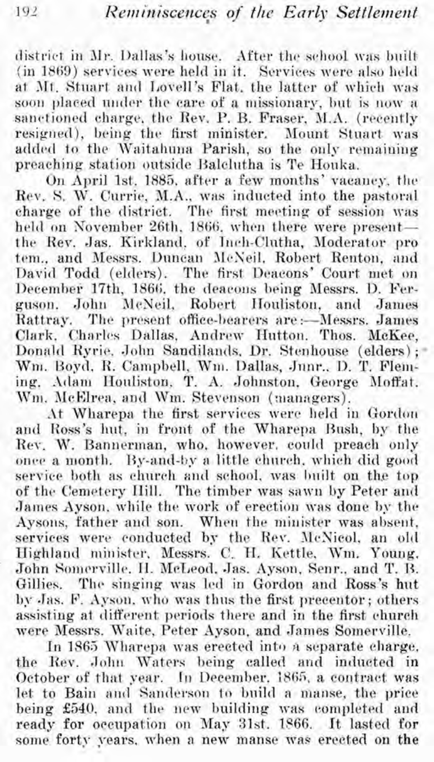district in Mr. Dallas's house. After the school was built (in 1869) services were held in it. Services were also held at Mt. Stuart and Lovell's Flat, the latter of which was soon placed under the care of a missionary, but is now a sanctioned charge, the Rev. P. B. Fraser, M.A. (recently resigned), being the first minister. Mount Stuart was added to the Waitahuna Parish, so the only remaining preaching station outside Balclutha is Te Houka.

On April 1st. 1885, after a few months' vacancy, the Rev. S. W. Currie, M.A., was inducted into the pastoral charge of the district. The first meeting of session was held on November 26th, 1866, when there were presentthe Rev. Jas. Kirkland, of Inch-Clutha, Moderator pro tem., and Messrs. Duncan McNeil, Robert Renton, and David Todd (elders). The first Deacons' Court met on December 17th, 1866, the deacons being Messrs. D. Ferguson. John McNeil, Robert Houliston, and James The present office-bearers are :- Messrs. James Rattray. Clark, Charles Dallas, Andrew Hutton, Thos. McKee, Donald Ryrie, John Sandilands, Dr. Stenhouse (elders); Wm. Boyd, R. Campbell, Wm. Dallas, Junr., D. T. Fleming. Adam Houliston, T. A. Johnston, George Moffat. Wm. McElrea, and Wm. Stevenson (managers).

At Wharepa the first services were held in Gordon and Ross's hut, in front of the Wharepa Bush, by the Rev. W. Bannerman, who, however, could preach only once a month. By-and-by a little church, which did good service both as church and school, was built on the top of the Cemetery Hill. The timber was sawn by Peter and James Ayson, while the work of erection was done by the Aysons, father and son. When the minister was absent, services were conducted by the Rev. McNicol, an old Highland minister, Messrs. C. H. Kettle, Wm. Young. John Somerville, H. McLeod, Jas. Ayson, Senr., and T. B. The singing was led in Gordon and Ross's hut Gillies. by Jas. F. Ayson, who was thus the first precentor; others assisting at different periods there and in the first church were Messrs. Waite, Peter Ayson, and James Somerville.

In 1865 Wharepa was erected into a separate charge. the Rev. John Waters being called and inducted in October of that year. In December, 1865, a contract was let to Bain and Sanderson to build a manse, the price being £540, and the new building was completed and ready for occupation on May 31st. 1866. It lasted for some forty years, when a new manse was erected on the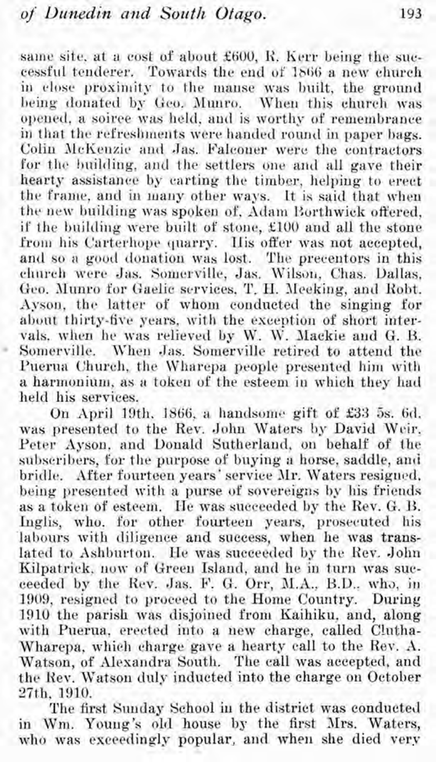same site, at a cost of about £600, R. Kerr being the successful tenderer. Towards the end of IS66 a new church in close proximity to the manse was built, the ground being donated by Geo. Munro. When this church was opened, a soiree was held, and is worthy of remembrance in that the refreshments were handed round in paper bags. Colin McKenzie and Jas. Falconer were the contractors for the building, and the settlers one and all gave their hearty assistance by carting the timber, helping to erect the frame, and in many other ways. It is said that when the new building was spoken of, Adam Borthwick offered, if the building were built of stone, £100 and all the stone from his Carterhope quarry. His offer was not accepted, and so a good donation was lost. The precentors in this church were Jas. Somerville, Jas. Wilson, Chas. Dallas, Geo. Munro for Gaelic services, T. H. Meeking, and Robt. Ayson. the latter of whom conducted the singing for abont thirty-five years, with the exception of short intervals. when he was relieved by W. W. Jlackie and G. **I3.** Somerville. When Jas. Somerville retired to attend the Puerua Church, the Wharepa people presented him with a harmonium, as a token of the esteem in which they had held his services.

On April 19th. IS66. a handsome gift of **\$33** 5s. 6d. was presented to the Rev. John Waters by David Wcir. Peter Ayson, and Donald Sutherland. on behalf of the subscribers, for the purpose of buying a horse, saddle, anti bridle. After fourteen years' service Mr. Waters resigned, being presented with a purse of sovereigns by his friends as a token of esteem. He was succeeded by the Rev. G. B. Inglis, who. for other fourteen years, prosecuted his labours with diligence and success, when he was translated to Ashburton. He was succeecled by the Rev. John Kilpatrick, now of Green Island, and he in turn was succeeded by the Rev. Jas. F. G. Orr, M.A., B.D., who, in 1909, resigned to proceed to the Home Country. Daring 1910 the parish **was** disjoined from Kaihiku, and, along with Puerua, erected into a new charge, called C!utha-Wharepa, which charge gave a hearty call to the Rev. A. Watson, of Alesandra South. The call was accepted, and the Kev. Watson duly inducted into the charge on October 27th, 1910.

The first Sunday School in the district was conductell in Wm. Young's old house by the first Mrs. Waters, who was exceedingly popular, and when she died very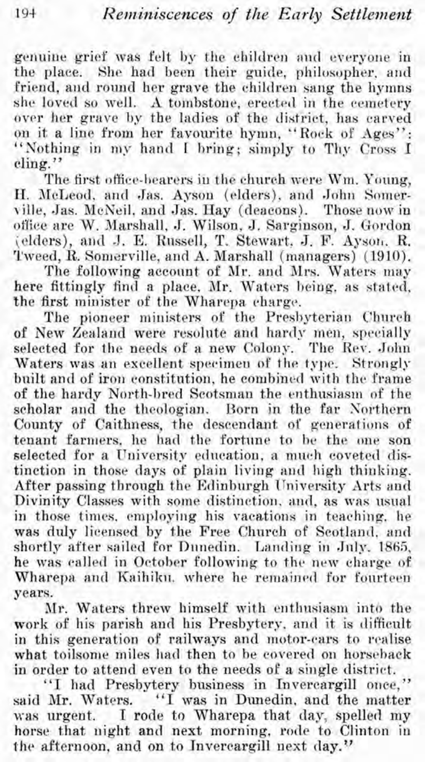genuine grief was felt by the children and everyone in the place. She had been their guide, philosopher, and friend, and round her grave the children sang the hymns she loved so well. **A** tombstone, erected in the cemetery over her grave by the ladies of the district, has carved on it a line from her fayourite hymn, "Rock of Ages": "Nothing in my hand I bring; simply to Thy Cross I cling. ''

The first office-bearers in the church were Wm. Young, H. McLeod, and Jas. Ayson (elders), and John Somerville, Jas. McNeil, and Jas. Hay (deacons). Those now in office are W. Marshall, J. Wilson, J, Sarginson, J. Gordon (elders), and J. E. Russell, T. Stewart. J. F. Ayson. R. Tweed, R. Somerville, and A. Marshall (managers) (1910).

The following account of Mr. and Mrs. Waters may here fittingly find a place, Mr. Waters being, as stated, the first minister of the Wharepa charge.

The pioneer ministers of the Presbyterian Church of New Zealand were resolute and hardy men, specially selected for the needs of a new Colony. The Rev. John Waters was an excellent specimen of the type. Strongly built and of iron constitution, he combined with the frame of the hardy North-bred Scotsman the enthusiasm of the scholar and the theologian. Born in the far Northern County of Caithness, the descendant of generations of tenant farmers, he had the fortune to he the one son selected for a University education, a much coveted distinction in those days of plain living and high thinking. After passing through the Edinburgh University Arts and Divinity Classes with some distinction, and, as was usual in those times, employing his vacations in teaching, he was duly licensed by the Free Church of Scotland. and shortly after sailed for Dunedin. Landing in July. 1865, he was called in October following to the new charge of Wharepa and Kaihiku. where he remained for fourteen years.

Mr. Waters threw himself with enthusiasm into the work of his parish and his Presbytery, and it is difficult in this generation of railways and motor-cars to rcalise what toilsome miles had then to be covered on horseback in order to attend even to the needs of a single district.

"I had Presbytery business in Invercargill once," said Mr. Waters. "I was in Dunedin, and the matter was urgent. I rode to Wharepa that day, spelled my horse that night and next morning, rode to Clinton in the afternoon, and on to Invercargill next day.?'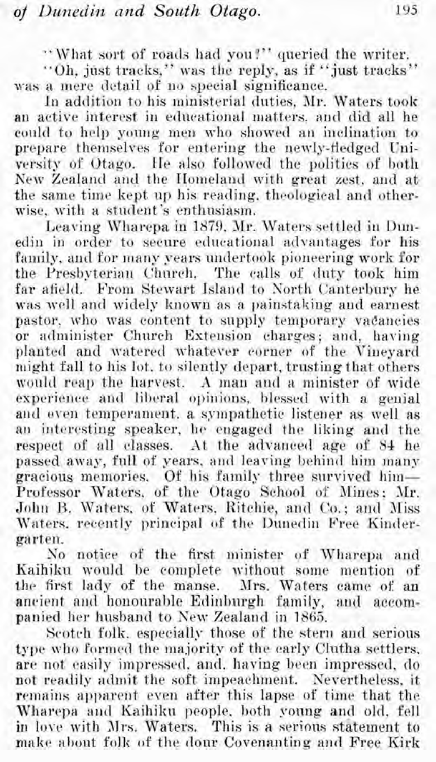"What sort of roads had you?" queried the writer.

"Oh, just tracks," was the reply, as if "just tracks" was a mere detail of no special significance.

In addition to his ministerial duties, Mr. Waters took an active interest in educational matters, and did all he could to help young men who showed an inclination to prepare themselves for entering the newly-fledged Vniversity of Otago. He also followed the politics of both New Zealand and the Homeland with great zest, and at the same time kept up his reading, theological and otherwise, with a student's enthusiasm.

Leaving Wharepa in 1879. Mr. Waters settled in Dunedin in order to secure educational advantages for his family, and for many years undertook pioneering work for the Presbyterian Church. The calls of duty took him far afield. From Stewart Island to Xorth Canterbury he was well and widely known as a painstaking and earnest pastor. who was content to supply temporary vadancies or administer Church Extension charges; and, having planted and watered whatever corner of the Vineyard might fall to his lot. to silently depart, trusting that others would reap the harvest. A man and a minister of wide experience and liberal opinions, blessed with a genial and even temperament. a sympathetic listener as well as an interesting speaker, he engaged the liking and the respect of all classes. At the advanced age of 84 he passed away, full of years, and leaving behind him many gracious memories. Of his family three survived him-Professor Waters, of the Otago School of Mines; Mr. John B. Waters. of Waters. Ritchie, and Co.; and Miss Waters, recently principal of the Dunedin Free Kindergarten.

So notice of the first minister of Wharepa and Kaihiku would be complete without some mention of the first lady of the manse. Mrs. Waters came of an ancient and honourable Edinburgh family, and accomancient and honourable Edinburgh family. panied her hnsband to Sew Zealand in 1865.

Scotch folk. especially those of the stern and serious type who formed the majority of the early Clutha settlers. are not easily impressed, and. having been impressed, do not readily adniit the soft impeachment. Nevertheless, it remains apparent even after this lapse of time that the Wharepa and Kaihiku people, both young and old. fell in lo\e with **31rs.** Waters. This is **a** serious statement to make ahout folk of the dour Covenanting and Free Kirk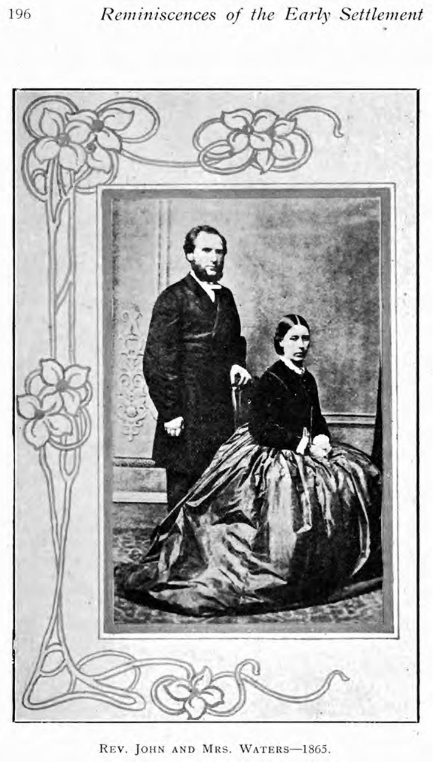

REV. JOHN AND MRS. WATERS-1865.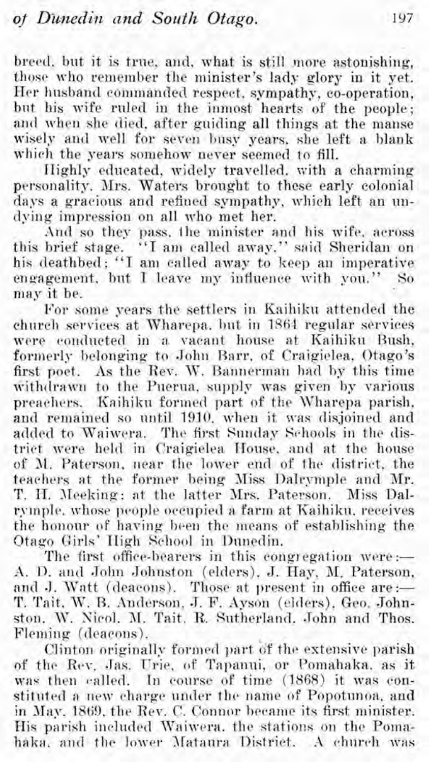breed. but it is true, and, what is still more astonishing, those who remember the minister's lady glory in it yet. Her husband commandecl respect, sympathy, co-operation, but his wife ruled in the inmost hearts of the people; and when she died, after guiding all things at the manse wisely and well for seven busy years, she left a blank which the years somehow never seemed to fill.

Highly educated, widely travelled, with a charming personality. Mrs. Waters brought to these early colonial days a gracious and refined sympathy, which left an undying impression on all who met her.

And so they pass. the minister and his wife. across this brief stage. "I am callecl away." said Sheridan on his deathbed; "I am called away to keep an imperative engagement. but I leave my inflnence with you." So map it be.

For some years the settlers in Kaihiku attended the church services at Wharepa, but in 1561 regular services were conducted in **;I** vacant house at Kaihiltu Bush, formerly belonging to John Barr, of Craigielea, Otago's first poet. As the Rev. W. Bannerman had by this time withdrawn to the Puerua, supply was given by various preachers. Kaihiku formed part of the Wharepa parish, and remained so until 1910, when it was disjoined and added to Waiwera. The first Sunday Schools in the district were held in Craigielea House. and at the house of M. Paterson, near the lower end of the district, the teachers at the former being JIiss Dalrpmple and Mr. T. H. Meeking: at the latter Mrs. Paterson. Miss Dalrymple. whose people occupied a farm at Kaihikn. receives the honour of having been the means of establishing the Otaqo Girls' High School in Dunedin.

The first office-bearers in this congregation were: $-$ A. D. and John Johnston (elders). J. Hay. M. Paterson, and J. Watt (deacons). Those at present in office are:-T. Tait. W. B. Anderson, J. F. Ayson (elders), Geo. Johnston. W. Nicol. M. Tait. R. Sutherland. John and Thos. Fleming (deacons).

Clinton originally formed part bf the extensive parish of the Rev. Jas. Urie, of Tapanui, or Pomahaka, as it was then called. In course of time (1868) it was constituted a new charge under the name of Popotunoa, and in May. 1869. the Rev. C. Connor became its first minister. His parish included Waiwera. the stations on the Pomahaka. and the lower Mataura District. A church was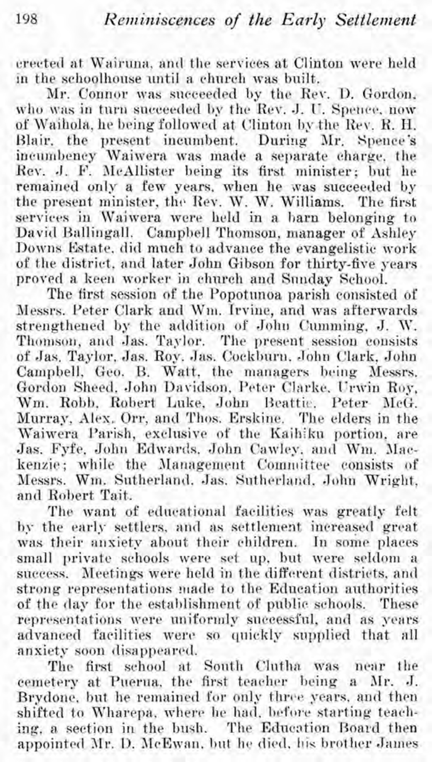erected at Wairnna. and the services at Clinton were held In the schoolhonse until a church was built.

Mr. Connor was succeeded by the Rev. D. Gordon. who was in turn succeeded by the Rev. J. **1:.** Spence. now of Waihola, he being followed at Clinton by the Rev. R. H. Blair, the present incumbent. During Mr. Spence's incumbency Waiwera was made a separate charge, the<br>Rev. J. F. McAllister being its first minister; but he remained only a few years, when he was succeeded by the present minister, the Rev. W. W. Williams. The first services in Waiwera were held in a barn belonging to David Ballingall. Campbell Thomson, manager of Ashley Downs Estate, did much to advance the evangelistic work of the district. and later John Gibson for thirty-five years provecl a keen worker in church and Snnday School.

The first session of the Popotunoa parish consisted of Messrs. Peter Clark and Wm. Irvine, and was afterwards strengthened by the addition of John Cumming, J. W. Thonison, and Jas. Taylor. The present session consists of Jas. Taylor, Jas. Roy. Jas. Cockburn, John Clark, John Campbell, Geo. B. Watt. the managers being Messrs. Gordon Sheed, John Davidson, Peter Clarke, Urwin Roy, Wm. Robb, Robert Luke, John Beattic. Peter McG. Murray, Ales. Orr, and Thos. Erskine. The elders in the Waiwera Parish, exclusive of the Kaihiku portion, are Jas. Fyfe. John Edwards. John Camley. and Wm. Mackenzie; while the Management Committee consists of Messrs. Wm. Sutherland. Jas. Sutherland. John Wright, and Robert Tait.

The want of educational facilities was greatly felt by the early settlers. and as settlement increased great was their anxiety about their children. In some places small private schools were set up, but were seldom a success. Meetings were held in the different districts. and strong representations made to the Education authorities of the (lay for the establishment of public schools. These representations were uniformly snccessful, and as years advanced facilities were. so quickly supplied that all anxiety soon disappeared.

The first school at South Clutha was near the cemetery at Pnerna. the first teacher being a Mr. J. Brydone, but he remained for only three years, and then shifted to Wharepa, where he had, before starting teaching, a section in the bush. The Education Board then appointed Mr. D. McEwan, but he died, his brother James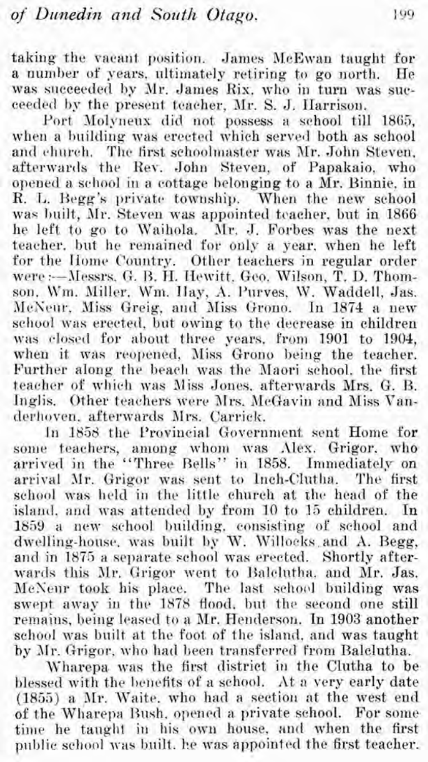taking the vacant position. James McEwan taught for<br>a number of vears, ultimately retiring to go north. He a number of years, ultimately retiring to go north. was succeeded by Mr. James Rix, who in turn was succeeded by the present teacher, Mr. S. J. Harrison.

Port Molyneux did not possess a school till 1865. when a building was erected which served both as school and church. The first schoolmaster was Mr. John Steven, afterwards the Rev. John Steven, of Papakaio, who opened a school in a cottage belonging to a Mr. Binnie, in R. **L.** Hegg's private township. When the new school was built. Mr. Steven was appointed teacher, but in 1866 he left to go to Waihola. Mr. J. Forbes was the next teacher. but he remained for only a year. when he left for the Home Country. Other teachers jn regular order were :-- Messrs. G. B. H. Hewitt. Geo. Wilson, T. D. Thomson, Wm. Miller, Wm. Hay, A. Purves, W. Waddell, Jas. McNeur, Miss Greig, and Miss Grono. In 1874 a new school was erected, but owing to the decrease in children was closed for about three years. from 1901 to 1904, when it was reopened, Miss Grono being the teacher. Further along the beach was the Maori school. the first teacher of which was Miss Jones, afterwards Mrs. G. B. Inglis. Other teachers were Mrs. McGavin and Miss Vanderhoven, afterwards Mrs. Carrick.

In 1858 the Provincial Government sent Home for some teachers, among whom was Alex. Grigor. who arrived in the "Three Bells" in 1858. Immediately on arrival Mr. Grigor was sent to Inch-Clutha. The first school was held in the little church at the head of the island, and was attended by from 10 to 15 children. In 1859 a new school building, consisting of school and dwelling-house, was built by W. Willocks and A. Begg, and in 1875 a separate school was erected. Shortly afterwards this Jlr. Grigor went to Halclutha. and Mr. Jas. McNeur took his place. The last school building was swept away in the 1878 flood, but the second one still remains, being leased to a Mr. Henderson. In 1903 another school was built at the foot of the island, and was taught by Mr. Grigor, who had been transferred from Balclutha.

Wharepa was the first district in the Clutha to be blessed with the benefits of a school. At a very early date  $(1855)$  a Mr. Waite. who had a section at the west end **of** the Wharepa Rush, opened a private school. For some time he taught in his own house, and when the first public school was built, he was appointed the first teacher.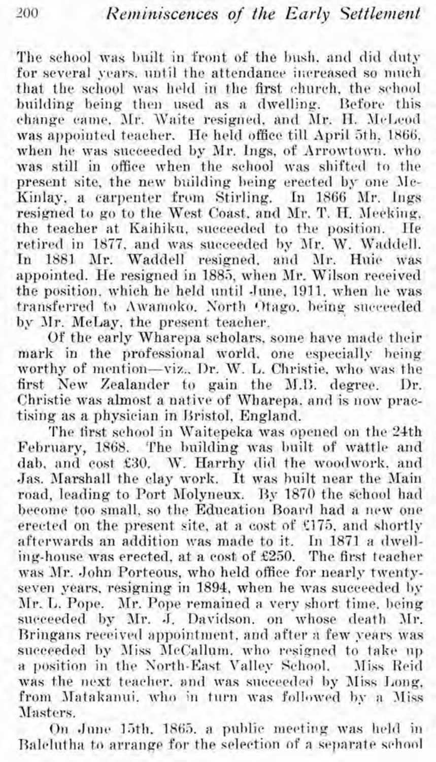The school was built in front of the bush, and did duty for several years, until the attendance increased so much that the school was held in the first church, the school building being then used as a dwelling. Before this change came. Mr. Waite resigned, and Mr. H. McLeod was appointed teacher. He held office till April 5th, 1866, when he was succeeded by Mr. Ings, of Arrowtown, who was still in office when the school was shifted to the present site, the new building being erected by one JIc-Kinlay, a carpenter from Stirling. In 1866 Mr. Ings resigned to go to the West Coast, and Mr. T. H. Meeking, the teacher at Kaihiku, succeeded to the position. He retired in 1877, and was succeeded by Mr. W. Waddell.<br>In 1881, Mr. Waddell, resigned, and Mr. Huje was 1881 Mr. Waddell resigned, and Mr. Huie was appointed. He resigned in 1885, when Mr. Wilson received the position, which he held until June, 1911, when he was transferred to Awamoko. North Otago, being succeeded by 3lr. McLay, the present teacher.

Of the early Wharepa scholars, some have matie their mark in the professional world, one especially being worthy of mention-viz., Dr. W. L. Christie, who was the first New Zealander to gain the M.B. degree. Dr. Christie was almost a native of Wharepa, and is now practising as a physician in Kristol, England.

The first school in Waitepeka was opened on the 24th February, 1868. The building was built of wattle and dab. and cost £30. W. Harrhy did the woodwork, and Jas. Marshall the clay work. It was built near the Main road, leading to Port Molyneux. By 1870 the school had become too small, so the Education Board had a new one erected on the present site, at a cost of  $$175$ , and shortly afterwards an addition was made to it. In 1871 a dwelling-house was erected, at a cost of £250. The first teacher was Air. John Porteous, who held office for nearly twentyseven years, resigning in 1894, when he was succeeded hy Mr. L. Pope. Mr. Pope remained a very short time. being succeeded by Mr. J. Davidson, on whose death Mr. Bringans received appointment, and after a few years was succeeded by Miss McCallum. who resigned to take up a position in the North-East Valley School. Miss Reid was the next teacher, and was succeeded by Miss Long, from Matakanui. who in turn was followed by a Miss Masters.

On June 15th, 1865. a public meeting was held in Balclutha to arrange for the selection of a separate school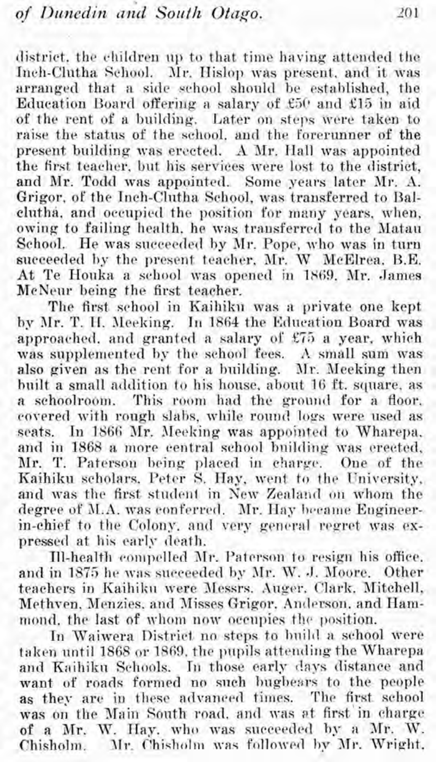district, the children up to that time having attended the Inch-Clutha School. Mr. Hislop was present, and it was arranged that a side school should be established, the Education Board offering a salary of  $£50$  and £15 in aid of the rent of a building. Later on steps mere talten to raise the status of the school. and the Forerunner of the present building was erected. A Mr. Hall was appointed the first teacher, but his services mere lost to the district, and Mr. Todd was appointed. Some years later Mr. A. Grigor, of the Inch-Clutha School, was transferred to Balclutha, and occupied the position for many years, when, owing to failing health, he was transferred to the Matau School. He was succeeded by Mr. Pope, who was in turn succeeded by the present teacher. Mr. W McElrea, B.E. At Te Houka a school was opened in 1869. Mr. James McNeur being the first teacher.

The first school in Kaihiku was a private one kept by AIr. T. **11.** Jleeking. In 1864 the Rdneation Board was approached, and granted a salary of £75 a year, which was supplemented by the school fees. A small sum was also given as the rent for a building. Mr. Meeking then built a small addition to his house, about 16 ft. square, as a schoolroom. This room had the ground for a floor. This room had the ground for a floor. covered with rough slabs, while round logs were used as seats. In 1866 Mr. Meeking was appointed to Wharepa. and in 1868 a more central school building mas erected, Mr. T. Paterson being placed in charge. One of the Kaihiku scholars. Peter S. Hay, went to the University, and was the first student in New Zealand on whom the degree of M.A. was conferred. Mr. Hay became Engineerin-chief to the Colony. and very general regret was expressed at his early death.

Ill-health cwmpelled JIr. Paterson to resign his office. and in 1875 he was succeeded by Mr. W. J. Moore. Other teachers in Kaihiku were Messrs. Auger. Clark, Mitchell, Methven. Menzies, and Misses Grigor, Anderson, and Hammond, the last of whom now occupies the position.

In Waiwera District no steps to huild a school were taken until 1868 or 1869. the pupils attending the Wharepa and Kaihiku Schools. In those early days distance and want of roads formed no such hngbesrs to the people as they are in these advanced times. The first school was on the Main Sonth road. and was ot first'in charge of a Mr. W. Hay. who was succeeded by a Mr. W. Chisholm. Mr. Chisholm was followed by Mr. Wright,